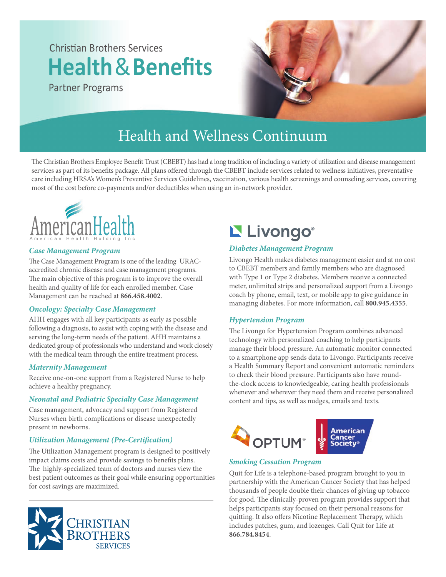# Christian Brothers Services **Health**&**Benefits**

Partner Programs



### Health and Wellness Continuum

The Christian Brothers Employee Benefit Trust (CBEBT) has had a long tradition of including a variety of utilization and disease management services as part of its benefits package. All plans offered through the CBEBT include services related to wellness initiatives, preventative care including HRSA's Women's Preventive Services Guidelines, vaccination, various health screenings and counseling services, covering most of the cost before co-payments and/or deductibles when using an in-network provider.



#### *Case Management Program*

The Case Management Program is one of the leading URACaccredited chronic disease and case management programs. The main objective of this program is to improve the overall health and quality of life for each enrolled member. Case Management can be reached at **866.458.4002**.

#### *Oncology: Specialty Case Management*

AHH engages with all key participants as early as possible following a diagnosis, to assist with coping with the disease and serving the long-term needs of the patient. AHH maintains a dedicated group of professionals who understand and work closely with the medical team through the entire treatment process.

#### *Maternity Management*

Receive one-on-one support from a Registered Nurse to help achieve a healthy pregnancy.

#### *Neonatal and Pediatric Specialty Case Management*

Case management, advocacy and support from Registered Nurses when birth complications or disease unexpectedly present in newborns.

#### *Utilization Management (Pre-Certication)*

The Utilization Management program is designed to positively impact claims costs and provide savings to benefits plans. The highly-specialized team of doctors and nurses view the best patient outcomes as their goal while ensuring opportunities for cost savings are maximized.



## L Livongo®

#### *Diabetes Management Program*

Livongo Health makes diabetes management easier and at no cost to CBEBT members and family members who are diagnosed with Type 1 or Type 2 diabetes. Members receive a connected meter, unlimited strips and personalized support from a Livongo coach by phone, email, text, or mobile app to give guidance in managing diabetes. For more information, call **800.945.4355**.

#### *Hypertension Program*

The Livongo for Hypertension Program combines advanced technology with personalized coaching to help participants manage their blood pressure. An automatic monitor connected to a smartphone app sends data to Livongo. Participants receive a Health Summary Report and convenient automatic reminders to check their blood pressure. Participants also have roundthe-clock access to knowledgeable, caring health professionals whenever and wherever they need them and receive personalized content and tips, as well as nudges, emails and texts.



#### *Smoking Cessation Program*

Quit for Life is a telephone-based program brought to you in partnership with the American Cancer Society that has helped thousands of people double their chances of giving up tobacco for good. The clinically-proven program provides support that helps participants stay focused on their personal reasons for quitting. It also offers Nicotine Replacement Therapy, which includes patches, gum, and lozenges. Call Quit for Life at **866.784.8454**.